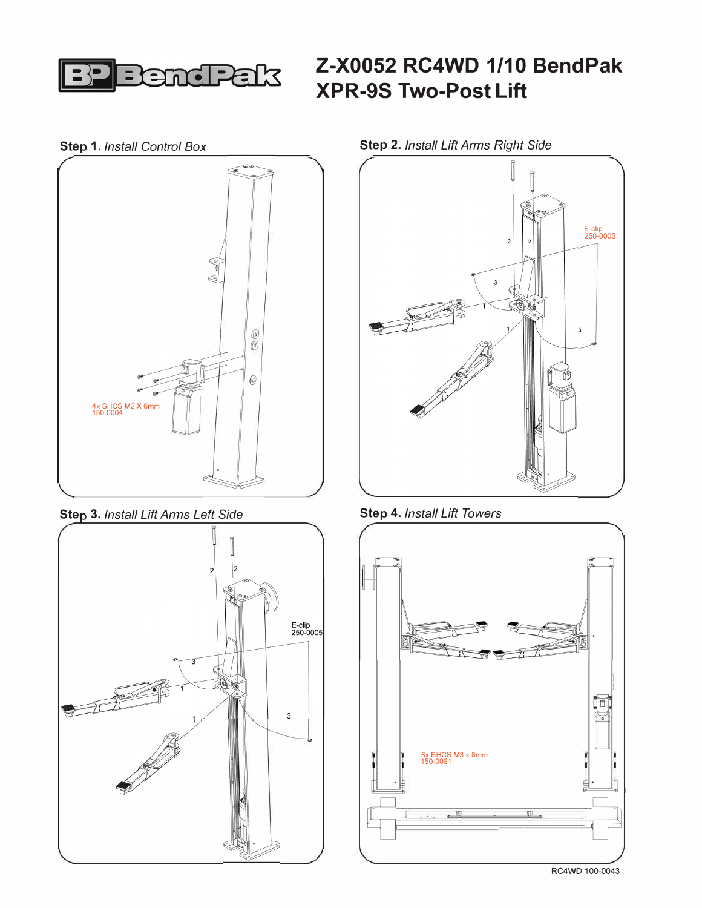

## **Z-X0052 RC4WD 1/10 BendPak XPR-9S Two-Post Lift**

**Step 1.** *Install Control Box* 



**Step 3. Install Lift Arms Left Side** 





**Step 4.** *Install Lift Towers* 



**Step 2.** *Install Lift Arms Right Side*